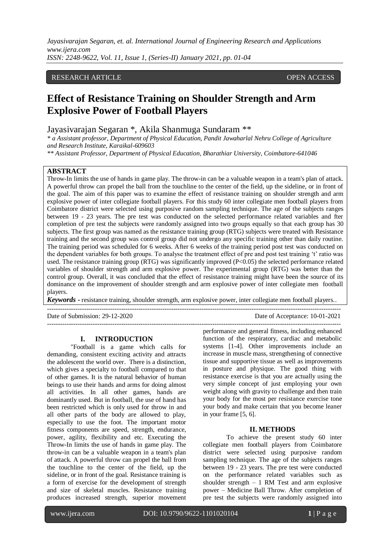## RESEARCH ARTICLE **OPEN ACCESS**

# **Effect of Resistance Training on Shoulder Strength and Arm Explosive Power of Football Players**

Jayasivarajan Segaran \*, Akila Shanmuga Sundaram \*\*

*\* a Assistant professor, Department of Physical Education, Pandit Jawaharlal Nehru College of Agriculture and Research Institute, Karaikal-609603*

*\*\* Assistant Professor, Department of Physical Education, Bharathiar University, Coimbatore-641046*

# **ABSTRACT**

Throw-In limits the use of hands in game play. The throw-in can be a valuable weapon in a team's plan of attack. A powerful throw can propel the ball from the touchline to the center of the field, up the sideline, or in front of the goal. The aim of this paper was to examine the effect of resistance training on shoulder strength and arm explosive power of inter collegiate football players. For this study 60 inter collegiate men football players from Coimbatore district were selected using purposive random sampling technique. The age of the subjects ranges between 19 - 23 years. The pre test was conducted on the selected performance related variables and fter completion of pre test the subjects were randomly assigned into two groups equally so that each group has 30 subjects. The first group was named as the resistance training group (RTG) subjects were treated with Resistance training and the second group was control group did not undergo any specific training other than daily routine. The training period was scheduled for 6 weeks. After 6 weeks of the training period post test was conducted on the dependent variables for both groups. To analyse the treatment effect of pre and post test training 't' ratio was used. The resistance training group (RTG) was significantly improved (P<0.05) the selected performance related variables of shoulder strength and arm explosive power. The experimental group (RTG) was better than the control group. Overall, it was concluded that the effect of resistance training might have been the source of its dominance on the improvement of shoulder strength and arm explosive power of inter collegiate men football players.

*Keywords* **-** resistance training, shoulder strength, arm explosive power, inter collegiate men football players..

---------------------------------------------------------------------------------------------------------------------------------------

Date of Submission: 29-12-2020 Date of Acceptance: 10-01-2021

#### **I. INTRODUCTION**

"Football is a game which calls for demanding, consistent exciting activity and attracts the adolescent the world over. There is a distinction, which gives a specialty to football compared to that of other games. It is the natural behavior of human beings to use their hands and arms for doing almost all activities. In all other games, hands are dominantly used. But in football, the use of hand has been restricted which is only used for throw in and all other parts of the body are allowed to play, especially to use the foot. The important motor fitness components are speed, strength, endurance, power, agility, flexibility and etc. Executing the Throw-In limits the use of hands in game play. The throw-in can be a valuable weapon in a team's plan of attack. A powerful throw can propel the ball from the touchline to the center of the field, up the sideline, or in front of the goal. Resistance training is a form of exercise for the development of strength and size of skeletal muscles. Resistance training produces increased strength, superior movement

-------------------------------------------------------------------------------------------------------------------------------------- performance and general fitness, including enhanced function of the respiratory, cardiac and metabolic systems [1-4]. Other improvements include an increase in muscle mass, strengthening of connective tissue and supportive tissue as well as improvements in posture and physique. The good thing with resistance exercise is that you are actually using the very simple concept of just employing your own weight along with gravity to challenge and then train your body for the most per resistance exercise tone your body and make certain that you become leaner in your frame [5, 6].

#### **II. METHODS**

To achieve the present study 60 inter collegiate men football players from Coimbatore district were selected using purposive random sampling technique. The age of the subjects ranges between 19 - 23 years. The pre test were conducted on the performance related variables such as shoulder strength  $-1$  RM Test and arm explosive power – Medicine Ball Throw. After completion of pre test the subjects were randomly assigned into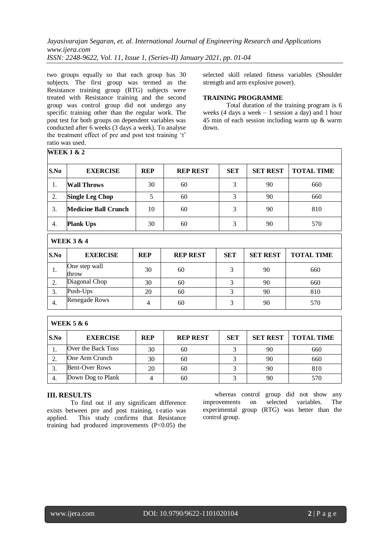two groups equally so that each group has 30 subjects. The first group was termed as the Resistance training group (RTG) subjects were treated with Resistance training and the second group was control group did not undergo any specific training other than the regular work. The post test for both groups on dependent variables was conducted after 6 weeks (3 days a week). To analyse the treatment effect of pre and post test training 't' ratio was used.

selected skill related fitness variables (Shoulder strength and arm explosive power).

## **TRAINING PROGRAMME**

Total duration of the training program is 6 weeks (4 days a week  $-1$  session a day) and 1 hour 45 min of each session including warm up & warm down.

| S.No                  | <b>EXERCISE</b>             | <b>REP</b> | <b>REP REST</b> | <b>SET</b>     | <b>SET REST</b> | <b>TOTAL TIME</b> |  |  |
|-----------------------|-----------------------------|------------|-----------------|----------------|-----------------|-------------------|--|--|
| 1.                    | <b>Wall Throws</b>          | 30         | 60              | 3              | 90              | 660               |  |  |
| 2.                    | <b>Single Leg Chop</b>      | 5          | 60              | 3              | 90              | 660               |  |  |
| 3.                    | <b>Medicine Ball Crunch</b> | 10         | 60              | 3              | 90              | 810               |  |  |
| 4.                    | <b>Plank Ups</b>            | 30         | 60              | 3              | 90              | 570               |  |  |
| <b>WEEK 3 &amp; 4</b> |                             |            |                 |                |                 |                   |  |  |
| S.No                  | <b>EXERCISE</b>             | <b>REP</b> | <b>REP REST</b> | <b>SET</b>     | <b>SET REST</b> | <b>TOTAL TIME</b> |  |  |
| 1.                    | One step wall<br>throw      | 30         | 60              | 3              | 90              | 660               |  |  |
| 2.                    | Diagonal Chop               | 30         | 60              | 3              | 90              | 660               |  |  |
| 3.                    | Push-Ups                    | 20         | 60              | $\overline{3}$ | 90              | 810               |  |  |
| 4.                    | Renegade Rows               | 4          | 60              | 3              | 90              | 570               |  |  |

| WEEK 5 & 6 |                       |            |                 |            |                 |                   |  |  |
|------------|-----------------------|------------|-----------------|------------|-----------------|-------------------|--|--|
| S.No       | <b>EXERCISE</b>       | <b>REP</b> | <b>REP REST</b> | <b>SET</b> | <b>SET REST</b> | <b>TOTAL TIME</b> |  |  |
|            | Over the Back Toss    | 30         | 60              |            | 90              | 660               |  |  |
|            | One Arm Crunch        | 30         | 60              |            | 90              | 660               |  |  |
|            | <b>Bent-Over Rows</b> | 20         | 60              |            | 90              | 810               |  |  |
| 4.         | Down Dog to Plank     |            | 60              |            | 90              | 570               |  |  |

### **III. RESULTS**

**WEEK 1 & 2**

To find out if any significant difference exists between pre and post training, t-ratio was applied. This study confirms that Resistance training had produced improvements  $(P<0.05)$  the

whereas control group did not show any improvements on selected variables. The experimental group (RTG) was better than the control group.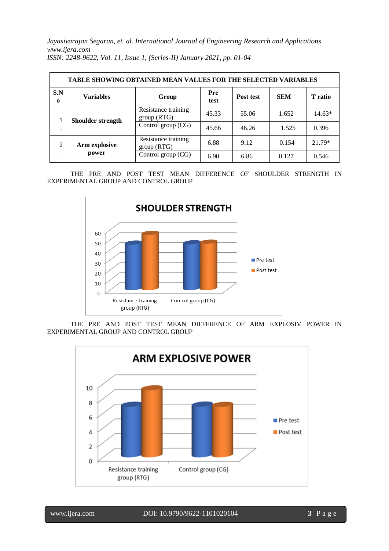| TABLE SHOWING OBTAINED MEAN VALUES FOR THE SELECTED VARIABLES |                           |                                   |             |           |            |          |  |  |  |  |
|---------------------------------------------------------------|---------------------------|-----------------------------------|-------------|-----------|------------|----------|--|--|--|--|
| S.N<br>$\mathbf o$                                            | <b>Variables</b><br>Group |                                   | Pre<br>test | Post test | <b>SEM</b> | T ratio  |  |  |  |  |
| $\cdot$                                                       | Shoulder strength         | Resistance training<br>group(RTG) | 45.33       | 55.06     | 1.652      | $14.63*$ |  |  |  |  |
|                                                               |                           | Control group $(CG)$              | 45.66       | 46.26     | 1.525      | 0.396    |  |  |  |  |
| ∍                                                             | Arm explosive<br>power    | Resistance training<br>group(RTG) | 6.88        | 9.12      | 0.154      | 21.79*   |  |  |  |  |
|                                                               |                           | Control group (CG)                | 6.90        | 6.86      | 0.127      | 0.546    |  |  |  |  |

THE PRE AND POST TEST MEAN DIFFERENCE OF SHOULDER STRENGTH IN EXPERIMENTAL GROUP AND CONTROL GROUP



THE PRE AND POST TEST MEAN DIFFERENCE OF ARM EXPLOSIV POWER IN EXPERIMENTAL GROUP AND CONTROL GROUP